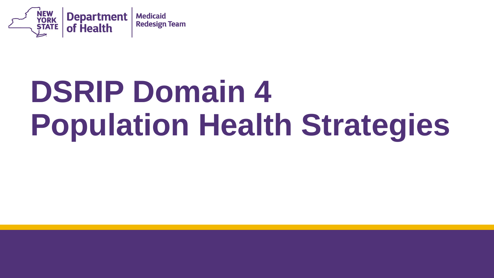

# **DSRIP Domain 4 Population Health Strategies**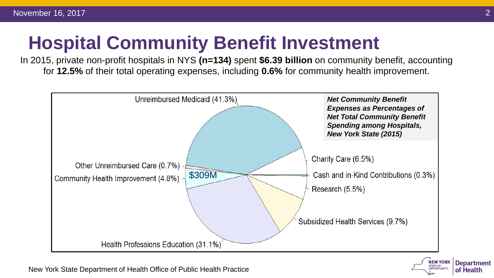# **Hospital Community Benefit Investment**

In 2015, private non-profit hospitals in NYS **(n=134)** spent **\$6.39 billion** on community benefit, accounting for **12.5%** of their total operating expenses, including **0.6%** for community health improvement.





New York State Department of Health Office of Public Health Practice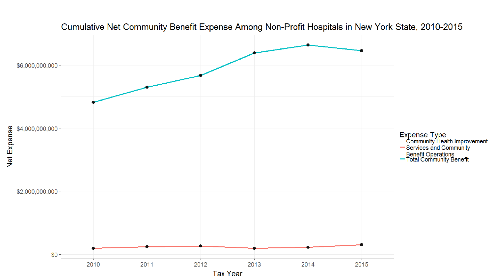

#### Cumulative Net Community Benefit Expense Among Non-Profit Hospitals in New York State, 2010-2015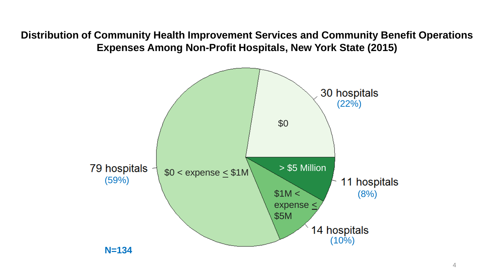**Distribution of Community Health Improvement Services and Community Benefit Operations Expenses Among Non-Profit Hospitals, New York State (2015)**

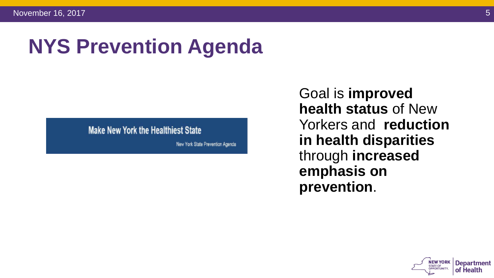# **NYS Prevention Agenda**

#### **Make New York the Healthiest State**

New York State Prevention Agenda

Goal is **improved health status** of New Yorkers and **reduction in health disparities**  through **increased emphasis on prevention**.

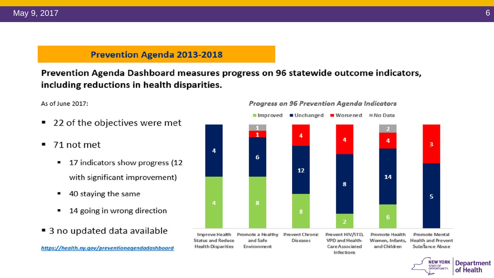#### **Prevention Agenda 2013-2018**

Prevention Agenda Dashboard measures progress on 96 statewide outcome indicators, including reductions in health disparities.

As of June 2017:

- 22 of the objectives were met ٠
- 71 not met ٠
	- 17 indicators show progress (12 ٠ with significant improvement)
	- 40 staying the same
	- 14 going in wrong direction
- 3 no updated data available

#### Progress on 96 Prevention Agenda Indicators



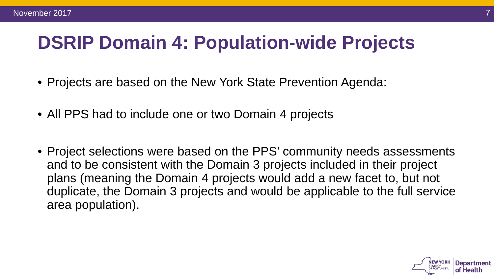# **DSRIP Domain 4: Population-wide Projects**

- Projects are based on the New York State Prevention Agenda:
- All PPS had to include one or two Domain 4 projects
- Project selections were based on the PPS' community needs assessments and to be consistent with the Domain 3 projects included in their project plans (meaning the Domain 4 projects would add a new facet to, but not duplicate, the Domain 3 projects and would be applicable to the full service area population).

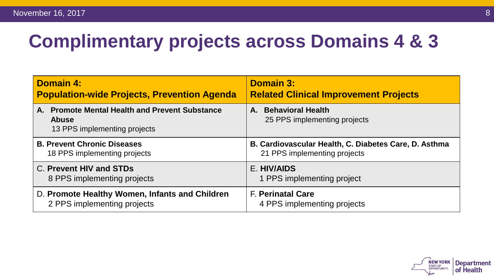# **Complimentary projects across Domains 4 & 3**

| <b>Domain 4:</b>                                                                               | <b>Domain 3:</b>                                      |
|------------------------------------------------------------------------------------------------|-------------------------------------------------------|
| <b>Population-wide Projects, Prevention Agenda</b>                                             | <b>Related Clinical Improvement Projects</b>          |
| A. Promote Mental Health and Prevent Substance<br><b>Abuse</b><br>13 PPS implementing projects | A. Behavioral Health<br>25 PPS implementing projects  |
| <b>B. Prevent Chronic Diseases</b>                                                             | B. Cardiovascular Health, C. Diabetes Care, D. Asthma |
| 18 PPS implementing projects                                                                   | 21 PPS implementing projects                          |
| C. Prevent HIV and STDs                                                                        | E. HIV/AIDS                                           |
| 8 PPS implementing projects                                                                    | 1 PPS implementing project                            |
| D. Promote Healthy Women, Infants and Children                                                 | <b>F. Perinatal Care</b>                              |
| 2 PPS implementing projects                                                                    | 4 PPS implementing projects                           |

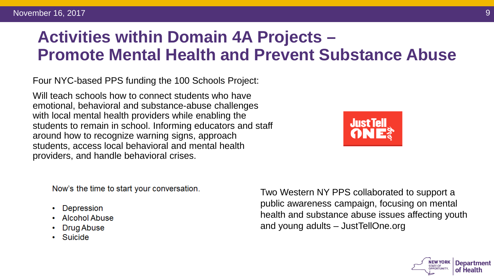### **Activities within Domain 4A Projects – Promote Mental Health and Prevent Substance Abuse**

Four NYC-based PPS funding the 100 Schools Project:

Will teach schools how to connect students who have emotional, behavioral and substance-abuse challenges with local mental health providers while enabling the students to remain in school. Informing educators and staff around how to recognize warning signs, approach students, access local behavioral and mental health providers, and handle behavioral crises.



Now's the time to start your conversation.

- Depression
- Alcohol Abuse
- Drug Abuse
- Suicide

Two Western NY PPS collaborated to support a public awareness campaign, focusing on mental health and substance abuse issues affecting youth and young adults – JustTellOne.org

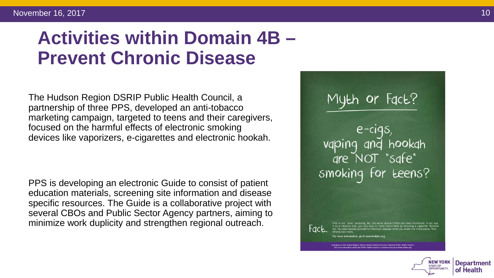#### November 16, 2017 **10**

## **Activities within Domain 4B – Prevent Chronic Disease**

The Hudson Region DSRIP Public Health Council, a partnership of three PPS, developed an anti-tobacco marketing campaign, targeted to teens and their caregivers, focused on the harmful effects of electronic smoking devices like vaporizers, e-cigarettes and electronic hookah.

PPS is developing an electronic Guide to consist of patient education materials, screening site information and disease specific resources. The Guide is a collaborative project with several CBOs and Public Sector Agency partners, aiming to minimize work duplicity and strengthen regional outreach.

Myth or Fact?  $e$ -cigs vaping and hookah<br>are NOT "safe" smoking for teens?

rmation, go to www.hrdphc.or

tace.

**STATE OF** 

**Department** of Health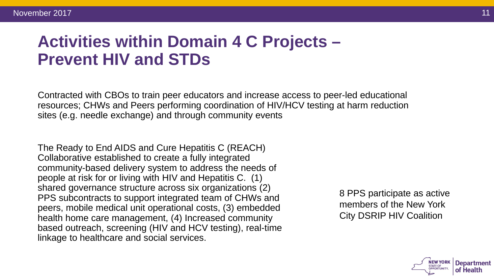### **Activities within Domain 4 C Projects – Prevent HIV and STDs**

Contracted with CBOs to train peer educators and increase access to peer-led educational resources; CHWs and Peers performing coordination of HIV/HCV testing at harm reduction sites (e.g. needle exchange) and through community events

The Ready to End AIDS and Cure Hepatitis C (REACH) Collaborative established to create a fully integrated community-based delivery system to address the needs of people at risk for or living with HIV and Hepatitis C. (1) shared governance structure across six organizations (2) PPS subcontracts to support integrated team of CHWs and peers, mobile medical unit operational costs, (3) embedded health home care management, (4) Increased community based outreach, screening (HIV and HCV testing), real-time linkage to healthcare and social services.

8 PPS participate as active members of the New York City DSRIP HIV Coalition

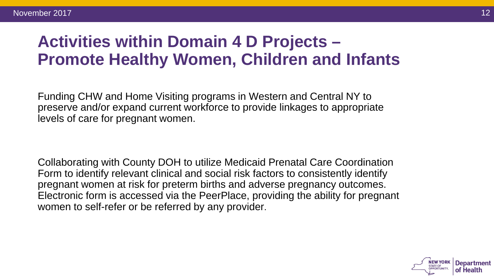### **Activities within Domain 4 D Projects – Promote Healthy Women, Children and Infants**

Funding CHW and Home Visiting programs in Western and Central NY to preserve and/or expand current workforce to provide linkages to appropriate levels of care for pregnant women.

Collaborating with County DOH to utilize Medicaid Prenatal Care Coordination Form to identify relevant clinical and social risk factors to consistently identify pregnant women at risk for preterm births and adverse pregnancy outcomes. Electronic form is accessed via the PeerPlace, providing the ability for pregnant women to self-refer or be referred by any provider.

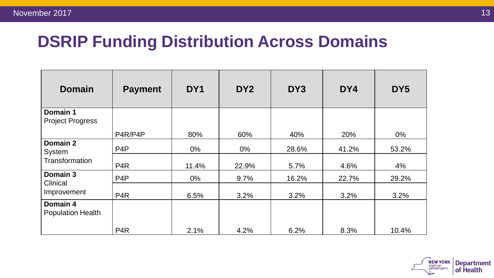#### **DSRIP Funding Distribution Across Domains**

| <b>Domain</b>                        | <b>Payment</b>   | DY <sub>1</sub> | DY <sub>2</sub> | DY3   | DY4   | DY <sub>5</sub> |
|--------------------------------------|------------------|-----------------|-----------------|-------|-------|-----------------|
| Domain 1<br><b>Project Progress</b>  |                  |                 |                 |       |       |                 |
|                                      | P4R/P4P          | 80%             | 60%             | 40%   | 20%   | $0\%$           |
| Domain 2<br>System                   | P <sub>4</sub> P | $0\%$           | $0\%$           | 28.6% | 41.2% | 53.2%           |
| Transformation                       | P <sub>4</sub> R | 11.4%           | 22.9%           | 5.7%  | 4.6%  | 4%              |
| Domain 3                             | P <sub>4</sub> P | $0\%$           | 9.7%            | 16.2% | 22.7% | 29.2%           |
| <b>Clinical</b><br>Improvement       | P <sub>4</sub> R | 6.5%            | 3.2%            | 3.2%  | 3.2%  | 3.2%            |
| Domain 4<br><b>Population Health</b> |                  |                 |                 |       |       |                 |
|                                      | P <sub>4</sub> R | 2.1%            | 4.2%            | 6.2%  | 8.3%  | 10.4%           |

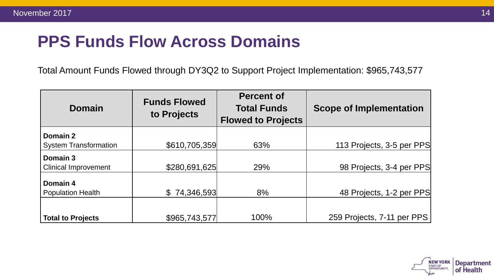### **PPS Funds Flow Across Domains**

Total Amount Funds Flowed through DY3Q2 to Support Project Implementation: \$965,743,577

| Domain                       | <b>Funds Flowed</b><br>to Projects | <b>Percent of</b><br><b>Total Funds</b><br><b>Flowed to Projects</b> | <b>Scope of Implementation</b> |  |
|------------------------------|------------------------------------|----------------------------------------------------------------------|--------------------------------|--|
| Domain 2                     |                                    |                                                                      |                                |  |
| <b>System Transformation</b> | \$610,705,359                      | 63%                                                                  | 113 Projects, 3-5 per PPS      |  |
| Domain 3                     |                                    |                                                                      |                                |  |
| <b>Clinical Improvement</b>  | \$280,691,625                      | 29%                                                                  | 98 Projects, 3-4 per PPS       |  |
| Domain 4                     |                                    |                                                                      |                                |  |
| <b>Population Health</b>     | \$74,346,593                       | 8%                                                                   | 48 Projects, 1-2 per PPS       |  |
|                              |                                    |                                                                      |                                |  |
| <b>Total to Projects</b>     | \$965,743,577                      | 100%                                                                 | 259 Projects, 7-11 per PPS     |  |